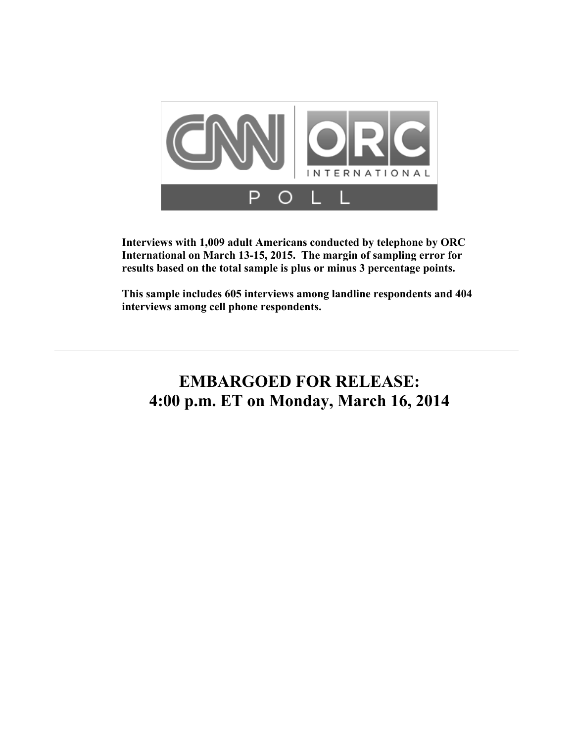

**Interviews with 1,009 adult Americans conducted by telephone by ORC International on March 13-15, 2015. The margin of sampling error for results based on the total sample is plus or minus 3 percentage points.** 

**This sample includes 605 interviews among landline respondents and 404 interviews among cell phone respondents.** 

# **EMBARGOED FOR RELEASE: 4:00 p.m. ET on Monday, March 16, 2014**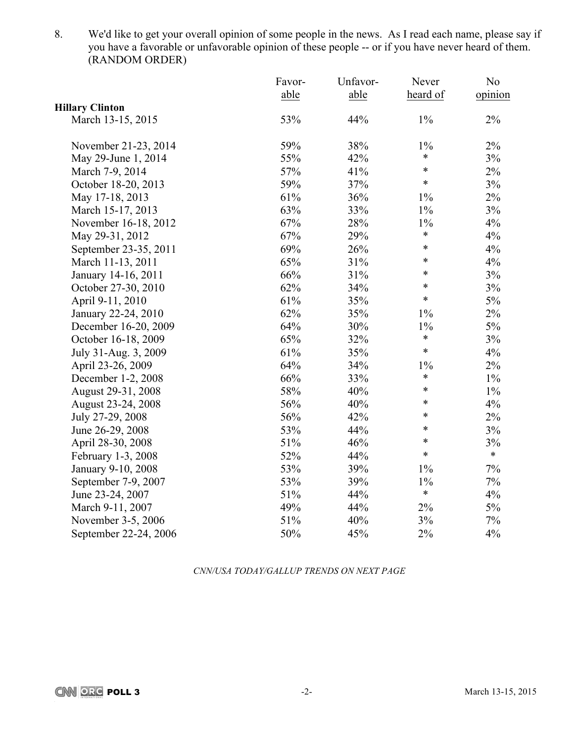8. We'd like to get your overall opinion of some people in the news. As I read each name, please say if you have a favorable or unfavorable opinion of these people -- or if you have never heard of them. (RANDOM ORDER)

|                        | Favor- | Unfavor- | Never    | N <sub>0</sub> |
|------------------------|--------|----------|----------|----------------|
|                        | able   | able     | heard of | opinion        |
| <b>Hillary Clinton</b> |        |          |          |                |
| March 13-15, 2015      | 53%    | 44%      | $1\%$    | $2\%$          |
| November 21-23, 2014   | 59%    | 38%      | $1\%$    | $2\%$          |
| May 29-June 1, 2014    | 55%    | 42%      | $\ast$   | 3%             |
| March 7-9, 2014        | 57%    | 41%      | $\ast$   | $2\%$          |
| October 18-20, 2013    | 59%    | 37%      | $\ast$   | $3\%$          |
| May 17-18, 2013        | 61%    | 36%      | $1\%$    | $2\%$          |
| March 15-17, 2013      | 63%    | 33%      | $1\%$    | 3%             |
| November 16-18, 2012   | 67%    | 28%      | $1\%$    | 4%             |
| May 29-31, 2012        | 67%    | 29%      | $\ast$   | 4%             |
| September 23-35, 2011  | 69%    | 26%      | $\ast$   | 4%             |
| March 11-13, 2011      | 65%    | 31%      | $\ast$   | 4%             |
| January 14-16, 2011    | 66%    | 31%      | $\ast$   | 3%             |
| October 27-30, 2010    | 62%    | 34%      | $\ast$   | 3%             |
| April 9-11, 2010       | 61%    | 35%      | $\ast$   | 5%             |
| January 22-24, 2010    | 62%    | 35%      | $1\%$    | 2%             |
| December 16-20, 2009   | 64%    | 30%      | $1\%$    | $5\%$          |
| October 16-18, 2009    | 65%    | 32%      | $\ast$   | 3%             |
| July 31-Aug. 3, 2009   | 61%    | 35%      | $\ast$   | 4%             |
| April 23-26, 2009      | 64%    | 34%      | $1\%$    | 2%             |
| December 1-2, 2008     | 66%    | 33%      | $\ast$   | $1\%$          |
| August 29-31, 2008     | 58%    | 40%      | $\ast$   | $1\%$          |
| August 23-24, 2008     | 56%    | 40%      | $\ast$   | 4%             |
| July 27-29, 2008       | 56%    | 42%      | $\ast$   | $2\%$          |
| June 26-29, 2008       | 53%    | 44%      | $\ast$   | 3%             |
| April 28-30, 2008      | 51%    | 46%      | $\ast$   | 3%             |
| February 1-3, 2008     | 52%    | 44%      | $\ast$   | $\ast$         |
| January 9-10, 2008     | 53%    | 39%      | $1\%$    | $7\%$          |
| September 7-9, 2007    | 53%    | 39%      | 1%       | $7\%$          |
| June 23-24, 2007       | 51%    | 44%      | $\ast$   | 4%             |
| March 9-11, 2007       | 49%    | 44%      | 2%       | $5\%$          |
| November 3-5, 2006     | 51%    | 40%      | 3%       | $7\%$          |
| September 22-24, 2006  | 50%    | 45%      | 2%       | 4%             |

*CNN/USA TODAY/GALLUP TRENDS ON NEXT PAGE*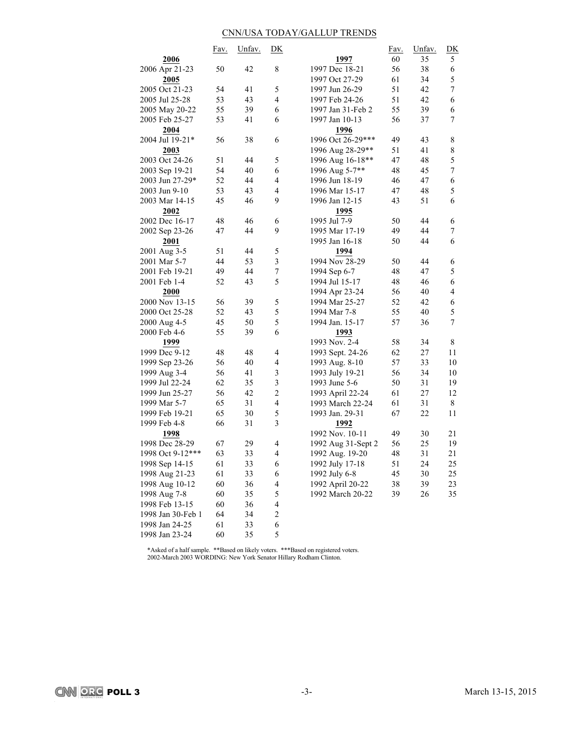# CNN/USA TODAY/GALLUP TRENDS

|                   | Fav. | Unfav. | D <sub>K</sub>           |                    | Fav. | Unfav. | $\underline{\mathbf{D}}\underline{\mathbf{K}}$ |
|-------------------|------|--------|--------------------------|--------------------|------|--------|------------------------------------------------|
| 2006              |      |        |                          | 1997               | 60   | 35     | 5                                              |
| 2006 Apr 21-23    | 50   | 42     | 8                        | 1997 Dec 18-21     | 56   | 38     | 6                                              |
| 2005              |      |        |                          | 1997 Oct 27-29     | 61   | 34     | 5                                              |
| 2005 Oct 21-23    | 54   | 41     | 5                        | 1997 Jun 26-29     | 51   | 42     | 7                                              |
| 2005 Jul 25-28    | 53   | 43     | $\overline{4}$           | 1997 Feb 24-26     | 51   | 42     | 6                                              |
| 2005 May 20-22    | 55   | 39     | 6                        | 1997 Jan 31-Feb 2  | 55   | 39     | 6                                              |
| 2005 Feb 25-27    | 53   | 41     | 6                        | 1997 Jan 10-13     | 56   | 37     | 7                                              |
| 2004              |      |        |                          | 1996               |      |        |                                                |
| 2004 Jul 19-21*   | 56   | 38     | 6                        | 1996 Oct 26-29***  | 49   | 43     | 8                                              |
| 2003              |      |        |                          | 1996 Aug 28-29**   | 51   | 41     | 8                                              |
| 2003 Oct 24-26    | 51   | 44     | 5                        | 1996 Aug 16-18**   | 47   | 48     | 5                                              |
| 2003 Sep 19-21    | 54   | 40     | 6                        | 1996 Aug 5-7**     | 48   | 45     | 7                                              |
| 2003 Jun 27-29*   | 52   | 44     | 4                        | 1996 Jun 18-19     | 46   | 47     | 6                                              |
| 2003 Jun 9-10     | 53   | 43     | $\overline{4}$           | 1996 Mar 15-17     | 47   | 48     | 5                                              |
| 2003 Mar 14-15    | 45   | 46     | 9                        | 1996 Jan 12-15     | 43   | 51     | 6                                              |
| 2002              |      |        |                          | 1995               |      |        |                                                |
| 2002 Dec 16-17    | 48   | 46     | 6                        | 1995 Jul 7-9       | 50   | 44     | 6                                              |
| 2002 Sep 23-26    | 47   | 44     | 9                        | 1995 Mar 17-19     | 49   | 44     | 7                                              |
| 2001              |      |        |                          | 1995 Jan 16-18     | 50   | 44     | 6                                              |
| 2001 Aug 3-5      | 51   | 44     | 5                        | 1994               |      |        |                                                |
| 2001 Mar 5-7      | 44   | 53     | $\mathfrak{Z}$           | 1994 Nov 28-29     | 50   | 44     | 6                                              |
| 2001 Feb 19-21    | 49   | 44     | $\boldsymbol{7}$         | 1994 Sep 6-7       | 48   | 47     | 5                                              |
| 2001 Feb 1-4      | 52   | 43     | 5                        | 1994 Jul 15-17     | 48   | 46     | 6                                              |
| 2000              |      |        |                          | 1994 Apr 23-24     | 56   | 40     | $\overline{4}$                                 |
| 2000 Nov 13-15    | 56   | 39     | 5                        | 1994 Mar 25-27     | 52   | 42     | 6                                              |
| 2000 Oct 25-28    | 52   | 43     | 5                        | 1994 Mar 7-8       | 55   | 40     | 5                                              |
| 2000 Aug 4-5      | 45   | 50     | 5                        | 1994 Jan. 15-17    | 57   | 36     | 7                                              |
| 2000 Feb 4-6      | 55   | 39     | 6                        | 1993               |      |        |                                                |
| 1999              |      |        |                          | 1993 Nov. 2-4      | 58   | 34     | 8                                              |
| 1999 Dec 9-12     | 48   | 48     | $\overline{4}$           | 1993 Sept. 24-26   | 62   | 27     | 11                                             |
| 1999 Sep 23-26    | 56   | 40     | $\overline{4}$           | 1993 Aug. 8-10     | 57   | 33     | 10                                             |
| 1999 Aug 3-4      | 56   | 41     | $\mathfrak{Z}$           | 1993 July 19-21    | 56   | 34     | 10                                             |
| 1999 Jul 22-24    | 62   | 35     | $\mathfrak{Z}$           | 1993 June 5-6      | 50   | 31     | 19                                             |
| 1999 Jun 25-27    | 56   | 42     | $\overline{c}$           | 1993 April 22-24   | 61   | 27     | 12                                             |
| 1999 Mar 5-7      | 65   | 31     | $\overline{\mathbf{4}}$  | 1993 March 22-24   | 61   | 31     | 8                                              |
| 1999 Feb 19-21    | 65   | 30     | 5                        | 1993 Jan. 29-31    | 67   | 22     | 11                                             |
| 1999 Feb 4-8      | 66   | 31     | 3                        | 1992               |      |        |                                                |
| 1998              |      |        |                          | 1992 Nov. 10-11    | 49   | 30     | 21                                             |
| 1998 Dec 28-29    | 67   | 29     | 4                        | 1992 Aug 31-Sept 2 | 56   | 25     | 19                                             |
| 1998 Oct 9-12***  | 63   | 33     | 4                        | 1992 Aug. 19-20    | 48   | 31     | 21                                             |
| 1998 Sep 14-15    | 61   | 33     | 6                        | 1992 July 17-18    | 51   | 24     | 25                                             |
| 1998 Aug 21-23    | 61   | 33     | 6                        | 1992 July 6-8      | 45   | 30     | 25                                             |
| 1998 Aug 10-12    | 60   | 36     | $\overline{\mathcal{A}}$ | 1992 April 20-22   | 38   | 39     | 23                                             |
| 1998 Aug 7-8      | 60   | 35     | 5                        | 1992 March 20-22   | 39   | 26     | 35                                             |
| 1998 Feb 13-15    | 60   | 36     | $\overline{4}$           |                    |      |        |                                                |
| 1998 Jan 30-Feb 1 | 64   | 34     | $\overline{c}$           |                    |      |        |                                                |
| 1998 Jan 24-25    | 61   | 33     | 6                        |                    |      |        |                                                |
| 1998 Jan 23-24    | 60   |        | 5                        |                    |      |        |                                                |
|                   |      | 35     |                          |                    |      |        |                                                |

\*Asked of a half sample. \*\*Based on likely voters. \*\*\*Based on registered voters. 2002-March 2003 WORDING: New York Senator Hillary Rodham Clinton.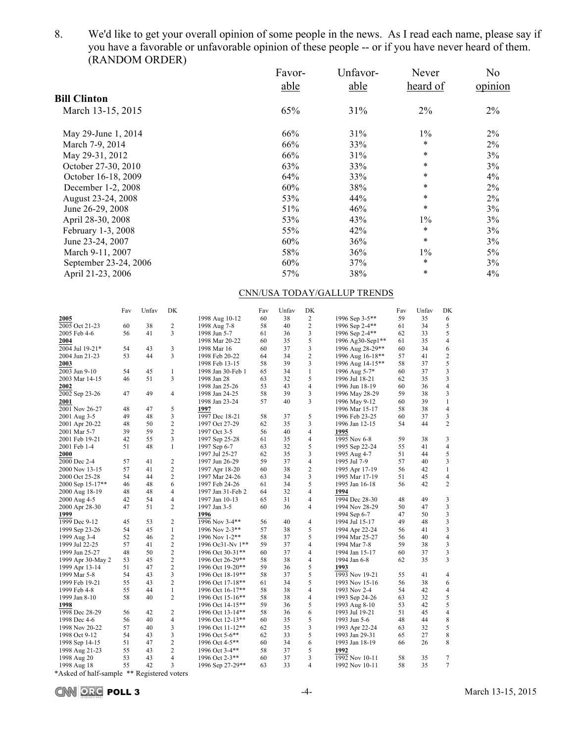8. We'd like to get your overall opinion of some people in the news. As I read each name, please say if you have a favorable or unfavorable opinion of these people -- or if you have never heard of them. (RANDOM ORDER)

| Favor- | Unfavor- | Never    | N <sub>o</sub> |
|--------|----------|----------|----------------|
| able   | able     | heard of | opinion        |
|        |          |          |                |
| 65%    | 31%      | 2%       | 2%             |
| 66%    | 31%      | $1\%$    | 2%             |
| 66%    | 33%      | $\ast$   | $2\%$          |
| 66%    | 31%      | $\ast$   | 3%             |
| 63%    | 33%      | $\ast$   | 3%             |
| 64%    | 33%      | $\ast$   | $4\%$          |
| 60%    | 38%      | $\ast$   | $2\%$          |
| 53%    | 44%      | $\ast$   | $2\%$          |
| 51%    | 46%      | $\ast$   | 3%             |
| 53%    | 43%      | $1\%$    | 3%             |
| 55%    | 42%      | $\ast$   | 3%             |
| 60%    | 36%      | $\ast$   | 3%             |
| 58%    | 36%      | $1\%$    | 5%             |
| 60%    | 37%      | $\ast$   | 3%             |
| 57%    | 38%      | $\ast$   | $4\%$          |
|        |          |          |                |

# CNN/USA TODAY/GALLUP TRENDS

|                   | Fav | Unfav | DK             |                   | Fav | Unfav | DK                       |                  | Fav | Unfav | DK             |
|-------------------|-----|-------|----------------|-------------------|-----|-------|--------------------------|------------------|-----|-------|----------------|
| 2005              |     |       |                | 1998 Aug 10-12    | 60  | 38    | 2                        | 1996 Sep 3-5**   | 59  | 35    | 6              |
| 2005 Oct 21-23    | 60  | 38    | 2              | 1998 Aug 7-8      | 58  | 40    | $\overline{2}$           | 1996 Sep 2-4**   | 61  | 34    | 5              |
| 2005 Feb 4-6      | 56  | 41    | 3              | 1998 Jun 5-7      | 61  | 36    | 3                        | 1996 Sep 2-4**   | 62  | 33    | 5              |
| 2004              |     |       |                | 1998 Mar 20-22    | 60  | 35    | 5                        | 1996 Ag30-Sep1** | 61  | 35    | 4              |
| 2004 Jul 19-21*   | 54  | 43    | 3              | 1998 Mar 16       | 60  | 37    | 3                        | 1996 Aug 28-29** | 60  | 34    | 6              |
| 2004 Jun 21-23    | 53  | 44    | 3              | 1998 Feb 20-22    | 64  | 34    | $\overline{c}$           | 1996 Aug 16-18** | 57  | 41    | 2              |
| 2003              |     |       |                | 1998 Feb 13-15    | 58  | 39    | 3                        | 1996 Aug 14-15** | 58  | 37    | 5              |
| 2003 Jun 9-10     | 54  | 45    | $\mathbf{1}$   | 1998 Jan 30-Feb 1 | 65  | 34    | $\mathbf{1}$             | 1996 Aug 5-7*    | 60  | 37    | 3              |
| 2003 Mar 14-15    | 46  | 51    | 3              | 1998 Jan 28       | 63  | 32    | 5                        | 1996 Jul 18-21   | 62  | 35    | 3              |
| 2002              |     |       |                | 1998 Jan 25-26    | 53  | 43    | 4                        | 1996 Jun 18-19   | 60  | 36    | $\overline{4}$ |
| 2002 Sep 23-26    | 47  | 49    | $\overline{4}$ | 1998 Jan 24-25    | 58  | 39    | 3                        | 1996 May 28-29   | 59  | 38    | 3              |
| 2001              |     |       |                | 1998 Jan 23-24    | 57  | 40    | 3                        | 1996 May 9-12    | 60  | 39    | 1              |
| 2001 Nov 26-27    | 48  | 47    | 5              | 1997              |     |       |                          | 1996 Mar 15-17   | 58  | 38    | 4              |
| 2001 Aug 3-5      | 49  | 48    | 3              | 1997 Dec 18-21    | 58  | 37    | 5                        | 1996 Feb 23-25   | 60  | 37    | 3              |
| 2001 Apr 20-22    | 48  | 50    | $\overline{c}$ | 1997 Oct 27-29    | 62  | 35    | 3                        | 1996 Jan 12-15   | 54  | 44    | $\overline{c}$ |
|                   | 39  | 59    | $\overline{c}$ |                   | 56  | 40    | $\overline{4}$           |                  |     |       |                |
| 2001 Mar 5-7      | 42  | 55    | 3              | 1997 Oct 3-5      | 61  | 35    | $\overline{4}$           | 1995             | 59  | 38    | 3              |
| 2001 Feb 19-21    |     | 48    | $\mathbf{1}$   | 1997 Sep 25-28    |     |       |                          | 1995 Nov 6-8     |     | 41    |                |
| 2001 Feb 1-4      | 51  |       |                | 1997 Sep 6-7      | 63  | 32    | 5                        | 1995 Sep 22-24   | 55  |       | $\overline{4}$ |
| 2000              |     |       |                | 1997 Jul 25-27    | 62  | 35    | 3                        | 1995 Aug 4-7     | 51  | 44    | 5              |
| 2000 Dec 2-4      | 57  | 41    | $\overline{2}$ | 1997 Jun 26-29    | 59  | 37    | $\overline{4}$           | 1995 Jul 7-9     | 57  | 40    | 3              |
| 2000 Nov 13-15    | 57  | 41    | $\overline{2}$ | 1997 Apr 18-20    | 60  | 38    | $\overline{c}$           | 1995 Apr 17-19   | 56  | 42    | 1              |
| 2000 Oct 25-28    | 54  | 44    | $\overline{c}$ | 1997 Mar 24-26    | 63  | 34    | 3                        | 1995 Mar 17-19   | 51  | 45    | $\overline{4}$ |
| 2000 Sep 15-17**  | 46  | 48    | 6              | 1997 Feb 24-26    | 61  | 34    | 5                        | 1995 Jan 16-18   | 56  | 42    | $\overline{c}$ |
| 2000 Aug 18-19    | 48  | 48    | $\overline{4}$ | 1997 Jan 31-Feb 2 | 64  | 32    | $\overline{4}$           | 1994             |     |       |                |
| 2000 Aug 4-5      | 42  | 54    | $\overline{4}$ | 1997 Jan 10-13    | 65  | 31    | 4                        | 1994 Dec 28-30   | 48  | 49    | 3              |
| 2000 Apr 28-30    | 47  | 51    | $\overline{2}$ | 1997 Jan 3-5      | 60  | 36    | 4                        | 1994 Nov 28-29   | 50  | 47    | 3              |
| 1999              |     |       |                | 1996              |     |       |                          | 1994 Sep 6-7     | 47  | 50    | 3              |
| 1999 Dec 9-12     | 45  | 53    | $\overline{2}$ | 1996 Nov 3-4**    | 56  | 40    | 4                        | 1994 Jul 15-17   | 49  | 48    | 3              |
| 1999 Sep 23-26    | 54  | 45    | $\mathbf{1}$   | 1996 Nov 2-3**    | 57  | 38    | 5                        | 1994 Apr 22-24   | 56  | 41    | 3              |
| 1999 Aug 3-4      | 52  | 46    | $\overline{c}$ | 1996 Nov 1-2**    | 58  | 37    | 5                        | 1994 Mar 25-27   | 56  | 40    | $\overline{4}$ |
| 1999 Jul 22-25    | 57  | 41    | $\overline{2}$ | 1996 Oc31-Nv 1**  | 59  | 37    | 4                        | 1994 Mar 7-8     | 59  | 38    | 3              |
| 1999 Jun 25-27    | 48  | 50    | $\overline{c}$ | 1996 Oct 30-31**  | 60  | 37    | $\overline{4}$           | 1994 Jan 15-17   | 60  | 37    | 3              |
| 1999 Apr 30-May 2 | 53  | 45    | $\overline{c}$ | 1996 Oct 26-29**  | 58  | 38    | 4                        | 1994 Jan 6-8     | 62  | 35    | 3              |
| 1999 Apr 13-14    | 51  | 47    | $\overline{c}$ | 1996 Oct 19-20**  | 59  | 36    | 5                        | 1993             |     |       |                |
| 1999 Mar 5-8      | 54  | 43    | 3              | 1996 Oct 18-19**  | 58  | 37    | 5                        | 1993 Nov 19-21   | 55  | 41    | $\overline{4}$ |
| 1999 Feb 19-21    | 55  | 43    | $\overline{c}$ | 1996 Oct 17-18**  | 61  | 34    | 5                        | 1993 Nov 15-16   | 56  | 38    | 6              |
| 1999 Feb 4-8      | 55  | 44    | 1              | 1996 Oct 16-17**  | 58  | 38    | 4                        | 1993 Nov 2-4     | 54  | 42    | 4              |
| 1999 Jan 8-10     | 58  | 40    | $\overline{2}$ | 1996 Oct 15-16**  | 58  | 38    | 4                        | 1993 Sep 24-26   | 63  | 32    | 5              |
| 1998              |     |       |                | 1996 Oct 14-15**  | 59  | 36    | 5                        | 1993 Aug 8-10    | 53  | 42    | 5              |
| 1998 Dec 28-29    | 56  | 42    | $\overline{2}$ | 1996 Oct 13-14**  | 58  | 36    | 6                        | 1993 Jul 19-21   | 51  | 45    | $\overline{4}$ |
| 1998 Dec 4-6      | 56  | 40    | $\overline{4}$ | 1996 Oct 12-13**  | 60  | 35    | 5                        | 1993 Jun 5-6     | 48  | 44    | 8              |
| 1998 Nov 20-22    | 57  | 40    | 3              | 1996 Oct 11-12**  | 62  | 35    | 3                        | 1993 Apr 22-24   | 63  | 32    | 5              |
| 1998 Oct 9-12     | 54  | 43    | 3              | 1996 Oct 5-6**    | 62  | 33    | 5                        | 1993 Jan 29-31   | 65  | 27    | 8              |
| 1998 Sep 14-15    | 51  | 47    | $\overline{2}$ | 1996 Oct 4-5**    | 60  | 34    | 6                        | 1993 Jan 18-19   | 66  | 26    | 8              |
| 1998 Aug 21-23    | 55  | 43    | $\overline{2}$ | 1996 Oct 3-4**    | 58  | 37    | 5                        | 1992             |     |       |                |
| 1998 Aug 20       | 53  | 43    | $\overline{4}$ | 1996 Oct 2-3**    | 60  | 37    | 3                        | 1992 Nov 10-11   | 58  | 35    | 7              |
| 1998 Aug 18       | 55  | 42    | 3              | 1996 Sep 27-29**  | 63  | 33    | $\overline{\mathcal{L}}$ | 1992 Nov 10-11   | 58  | 35    | $\tau$         |
|                   |     |       |                |                   |     |       |                          |                  |     |       |                |

\*Asked of half-sample \*\* Registered voters

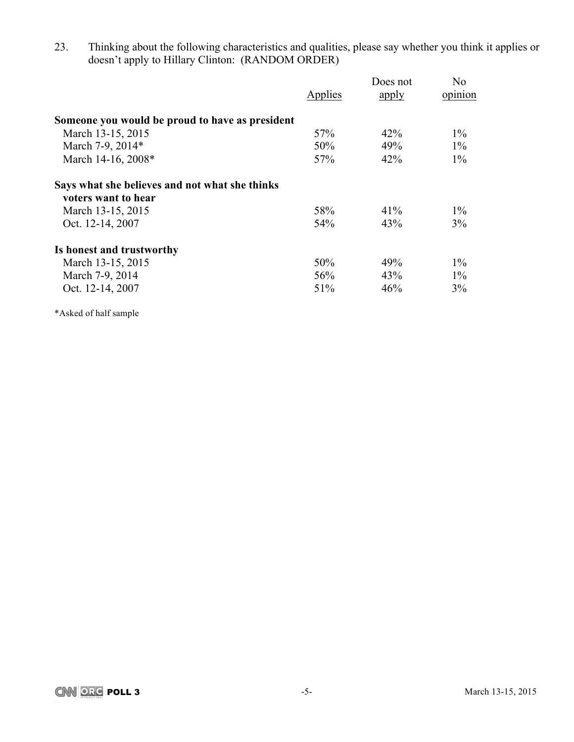23. Thinking about the following characteristics and qualities, please say whether you think it applies or doesn't apply to Hillary Clinton: (RANDOM ORDER)

|                                                 | Applies | Does not<br>apply | No<br>opinion |
|-------------------------------------------------|---------|-------------------|---------------|
| Someone you would be proud to have as president |         |                   |               |
| March 13-15, 2015                               | 57%     | 42%               | $1\%$         |
| March 7-9, 2014*                                | 50%     | 49%               | $1\%$         |
| March 14-16, 2008*                              | 57%     | 42%               | $1\%$         |
| Says what she believes and not what she thinks  |         |                   |               |
| voters want to hear                             |         |                   |               |
| March 13-15, 2015                               | 58%     | 41%               | $1\%$         |
| Oct. 12-14, 2007                                | 54%     | 43%               | 3%            |
| Is honest and trustworthy                       |         |                   |               |
| March 13-15, 2015                               | 50%     | 49%               | $1\%$         |
| March 7-9, 2014                                 | 56%     | 43%               | $1\%$         |
| Oct. 12-14, 2007                                | 51%     | 46%               | 3%            |

\*Asked of half sample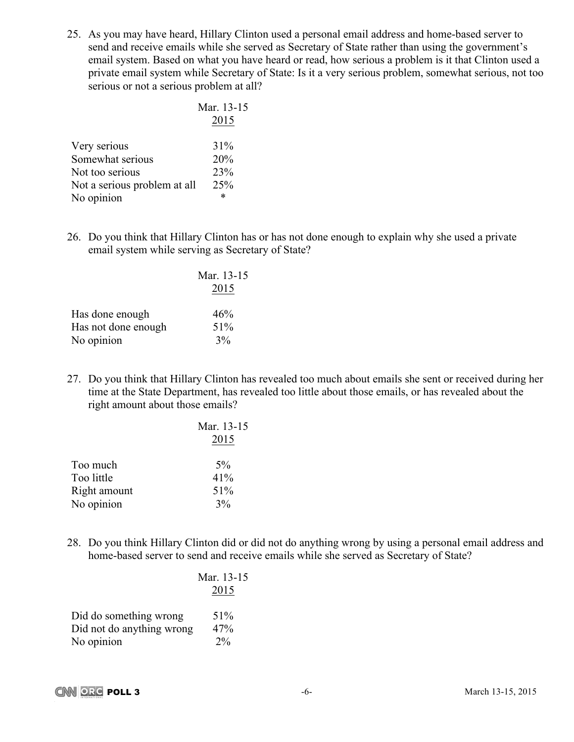25. As you may have heard, Hillary Clinton used a personal email address and home-based server to send and receive emails while she served as Secretary of State rather than using the government's email system. Based on what you have heard or read, how serious a problem is it that Clinton used a private email system while Secretary of State: Is it a very serious problem, somewhat serious, not too serious or not a serious problem at all?

|                              | Mar. 13-15 |
|------------------------------|------------|
|                              | 2015       |
| Very serious                 | 31%        |
| Somewhat serious             | 20%        |
| Not too serious              | 23%        |
| Not a serious problem at all | 25%        |
| No opinion                   | *          |

26. Do you think that Hillary Clinton has or has not done enough to explain why she used a private email system while serving as Secretary of State?

|                     | Mar. 13-15<br>2015 |
|---------------------|--------------------|
| Has done enough     | 46%                |
| Has not done enough | 51%                |
| No opinion          | 3%                 |

27. Do you think that Hillary Clinton has revealed too much about emails she sent or received during her time at the State Department, has revealed too little about those emails, or has revealed about the right amount about those emails?

| Mar. 13-15 |
|------------|
| 2015       |
| $5\%$      |
| 41%        |
| 51%        |
| 3%         |
|            |

28. Do you think Hillary Clinton did or did not do anything wrong by using a personal email address and home-based server to send and receive emails while she served as Secretary of State?

 $5<sub>1</sub>$ 

|                           | Mar. 13-1 |
|---------------------------|-----------|
|                           | 2015      |
| Did do something wrong    | 51%       |
| Did not do anything wrong | 47%       |
| No opinion                | $2\%$     |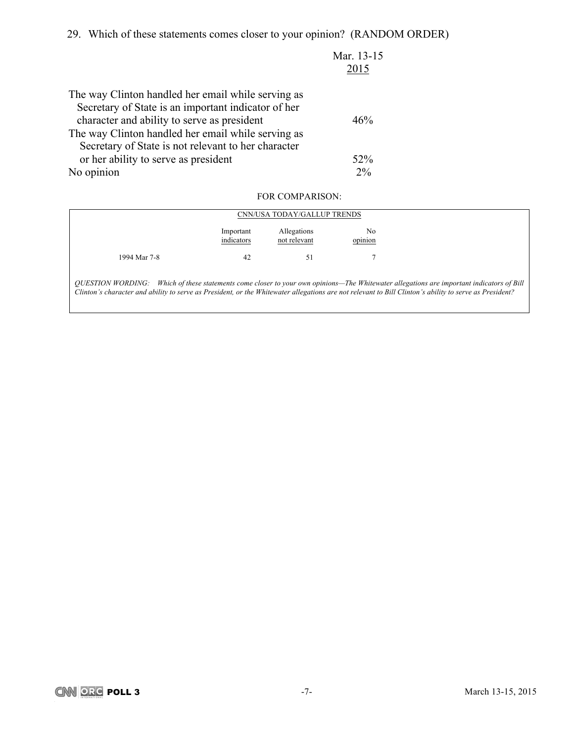29. Which of these statements comes closer to your opinion? (RANDOM ORDER)

|                                                     | Mar. 13-15<br>2015 |
|-----------------------------------------------------|--------------------|
|                                                     |                    |
| The way Clinton handled her email while serving as  |                    |
| Secretary of State is an important indicator of her |                    |
| character and ability to serve as president         | 46%                |
| The way Clinton handled her email while serving as  |                    |
| Secretary of State is not relevant to her character |                    |
| or her ability to serve as president                | 52%                |
| No opinion                                          | $2\%$              |
|                                                     |                    |

# FOR COMPARISON:

|              |                         | CNN/USA TODAY/GALLUP TRENDS |               |
|--------------|-------------------------|-----------------------------|---------------|
|              | Important<br>indicators | Allegations<br>not relevant | No<br>opinion |
| 1994 Mar 7-8 | 42                      | 51                          |               |

*QUESTION WORDING: Which of these statements come closer to your own opinions—The Whitewater allegations are important indicators of Bill Clinton's character and ability to serve as President, or the Whitewater allegations are not relevant to Bill Clinton's ability to serve as President?*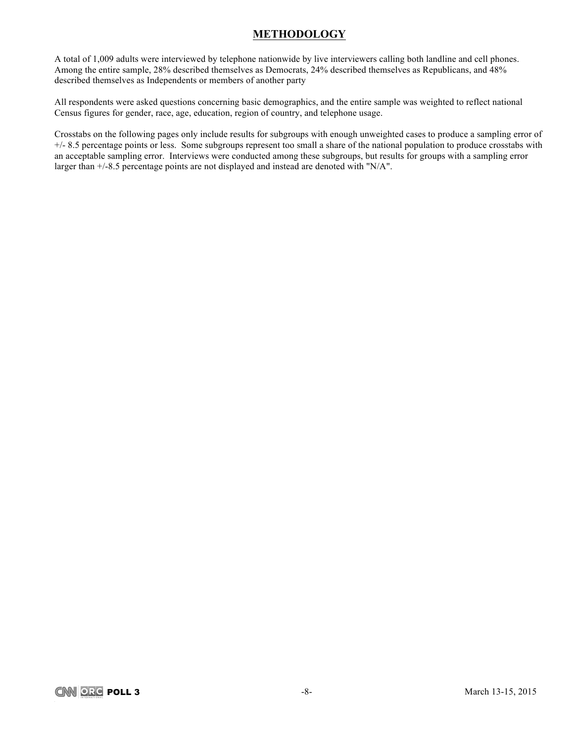# **METHODOLOGY**

A total of 1,009 adults were interviewed by telephone nationwide by live interviewers calling both landline and cell phones. Among the entire sample, 28% described themselves as Democrats, 24% described themselves as Republicans, and 48% described themselves as Independents or members of another party

All respondents were asked questions concerning basic demographics, and the entire sample was weighted to reflect national Census figures for gender, race, age, education, region of country, and telephone usage.

Crosstabs on the following pages only include results for subgroups with enough unweighted cases to produce a sampling error of +/- 8.5 percentage points or less. Some subgroups represent too small a share of the national population to produce crosstabs with an acceptable sampling error. Interviews were conducted among these subgroups, but results for groups with a sampling error larger than +/-8.5 percentage points are not displayed and instead are denoted with "N/A".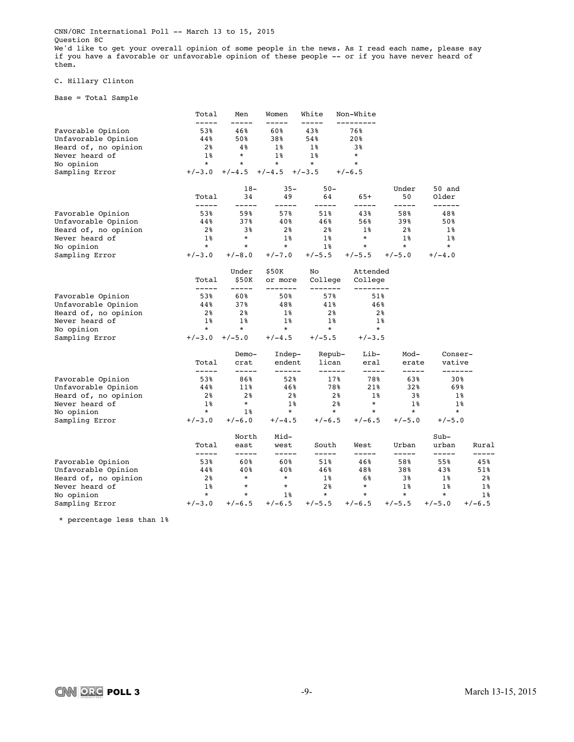CNN/ORC International Poll -- March 13 to 15, 2015 Question 8C We'd like to get your overall opinion of some people in the news. As I read each name, please say if you have a favorable or unfavorable opinion of these people -- or if you have never heard of them.

### C. Hillary Clinton

Base = Total Sample

|                      | Total                | Men                  | Women               | White               | Non-White           |                |                   |              |
|----------------------|----------------------|----------------------|---------------------|---------------------|---------------------|----------------|-------------------|--------------|
| Favorable Opinion    | -----<br>53%         | 46%                  | 60%                 | 43%                 | ---------<br>76%    |                |                   |              |
| Unfavorable Opinion  | 44%                  | 50%                  | 38%                 | 54%                 | 20%                 |                |                   |              |
| Heard of, no opinion | 2%                   | 4%                   | $1\%$               | $1\%$               | 3%                  |                |                   |              |
| Never heard of       | $1\%$                | $^\star$             | $1\%$               | $1\%$               | $\star$             |                |                   |              |
| No opinion           | $\star$              | $\star$              | $^\star$            | $\star$             | $\star$             |                |                   |              |
| Sampling Error       | $+/-3.0$             | $+/-4.5$             | $+/-4.5$            | $+/-3.5$            | $+/-6.5$            |                |                   |              |
|                      |                      | $18-$                | $35 -$              | $50 -$              |                     | Under          | 50 and            |              |
|                      | Total<br>-----       | 34<br>-----          | 49<br>-----         | 64<br>-----         | $65+$<br>-----      | 50<br>-----    | Older<br>------   |              |
| Favorable Opinion    | 53%                  | 59%                  | 57%                 | 51%                 | 43%                 | 58%            | 48%               |              |
| Unfavorable Opinion  | 44%                  | 37%                  | 40%                 | 46%                 | 56%                 | 39%            | 50%               |              |
| Heard of, no opinion | 2%                   | 38                   | 2%                  | 2%                  | $1\%$               | 2%             | 1%                |              |
| Never heard of       | $1\%$                | $\star$              | $1\%$               | $1\%$               | $\star$             | $1\%$          | $1\%$             |              |
| No opinion           | $\star$              | $^\star$             | $\star$             | $1\%$               | $\star$             | $\star$        | $\star$           |              |
| Sampling Error       | $+/-3.0$             | $+/-8.0$             | $+/-7.0$            | $+/-5.5$            | $+/-5.5$            | $+/-5.0$       | $+/-4.0$          |              |
|                      |                      | Under                | \$50K               | No                  | Attended            |                |                   |              |
|                      | Total<br>$--- - - -$ | \$50K<br>$- - - - -$ | or more<br>-------- | College<br>-------- | College<br>-------- |                |                   |              |
| Favorable Opinion    | 53%                  | 60%                  | 50%                 | 57%                 | 51%                 |                |                   |              |
| Unfavorable Opinion  | 44%                  | 37%                  | 48%                 | 41%                 | 46%                 |                |                   |              |
| Heard of, no opinion | 2%                   | 2 <sub>8</sub>       | 1%                  | 2 <sup>8</sup>      | 2 <sup>8</sup>      |                |                   |              |
| Never heard of       | $1\%$                | $1\%$                | $1\%$               | $1\%$               | $1\%$               |                |                   |              |
| No opinion           | $\ast$               | $^\star$             | $\star$             | $\star$             | $\star$             |                |                   |              |
| Sampling Error       | $+/-3.0$             | $+/-5.0$             | $+/-4.5$            | $+/-5.5$            | $+/-3.5$            |                |                   |              |
|                      |                      | $Demo-$              | Indep-              | Repub-              | Lib-                | Mod-           | Conser-           |              |
|                      | Total<br>-----       | crat<br>-----        | endent<br>------    | lican<br>------     | eral<br>-----       | erate<br>----- | vative<br>------- |              |
| Favorable Opinion    | 53%                  | 86%                  | 52%                 | 17%                 | 78%                 | 63%            | 30%               |              |
| Unfavorable Opinion  | 44%                  | 11%                  | 46%                 | 78%                 | 21%                 | 32%            | 69%               |              |
| Heard of, no opinion | 2%                   | 2 <sup>8</sup>       | 2 <sup>8</sup>      | 2 <sup>8</sup>      | $1\%$               | 3%             |                   | 1%           |
| Never heard of       | $1\%$                | $\star$              | $1\%$               | 2 <sup>8</sup>      | $\star$             | $1\%$          |                   | $1\%$        |
| No opinion           | $\star$              | $1\,$ %              | $\star$             | $\star$             | $\star$             | $\star$        | $\star$           |              |
| Sampling Error       | $+/-3.0$             | $+/-6.0$             | $+/-4.5$            | $+/-6.5$            | $+/-6.5$            | $+/-5.0$       | $+/-5.0$          |              |
|                      |                      | North                | Mid-                |                     |                     |                | $Sub-$            |              |
|                      | Total                | east                 | west                | South               | West                | Urban          | urban             | Rural        |
| Favorable Opinion    | -----<br>53%         | -----<br>60%         | -----<br>60%        | -----<br>51%        | -----<br>46%        | -----<br>58%   | -----<br>55%      | -----<br>45% |
| Unfavorable Opinion  | 44%                  | 40%                  | 40%                 | 46%                 | 48%                 | 38%            | 43%               | 51%          |
| Heard of, no opinion | 2%                   | $\star$              | $\star$             | $1\,$               | 6%                  | 3%             | 18                | $2\,$ $\,$   |
| Never heard of       | $1\%$                | $\ast$               | $\ast$              | 2%                  | $\ast$              | $1\%$          | 1%                | 1%           |
| No opinion           | $\star$              | $\ast$               | $1\%$               | $\star$             | $\star$             | $\star$        | $\star$           | $1\%$        |
| Sampling Error       | $+/-3.0$             | $+/-6.5$             | $+/-6.5$            | $+/-5.5$            | $+/-6.5$            | $+/-5.5$       | $+/-5.0$          | $+/-6.5$     |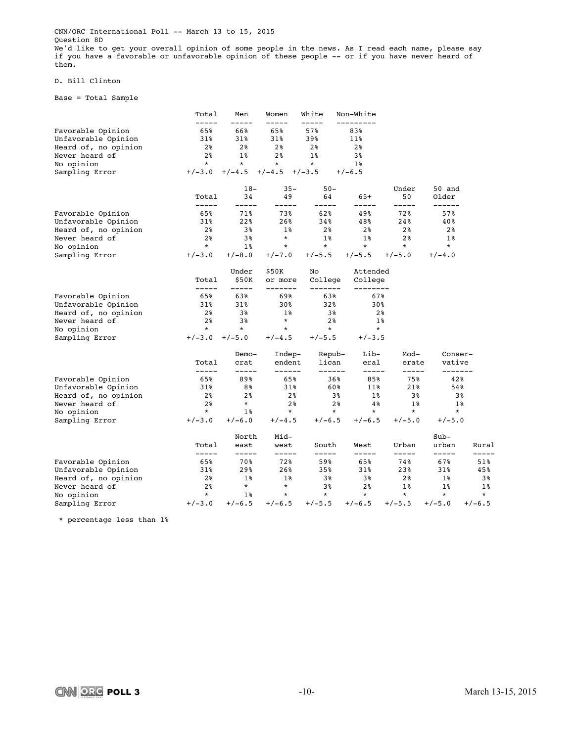CNN/ORC International Poll -- March 13 to 15, 2015 Question 8D We'd like to get your overall opinion of some people in the news. As I read each name, please say if you have a favorable or unfavorable opinion of these people -- or if you have never heard of them.

### D. Bill Clinton

Base = Total Sample

|                      | Total                | Men                  | Women               | White              | Non-White           |                |                   |              |
|----------------------|----------------------|----------------------|---------------------|--------------------|---------------------|----------------|-------------------|--------------|
| Favorable Opinion    | -----<br>65%         | 66%                  | 65%                 | 57%                | ---------<br>83%    |                |                   |              |
| Unfavorable Opinion  | 31%                  | 31%                  | 31%                 | 39%                | 11%                 |                |                   |              |
| Heard of, no opinion | 2%                   | 2 <sup>8</sup>       | 2 <sup>8</sup>      | 2 <sup>8</sup>     | 2 <sup>8</sup>      |                |                   |              |
| Never heard of       | 2%                   | $1\%$                | 2 <sub>8</sub>      | $1\%$              | 3%                  |                |                   |              |
| No opinion           | $\star$              | $\star$              | $^\star$            | $\star$            | $1\%$               |                |                   |              |
| Sampling Error       | $+/-3.0$             | $+/-4.5$             | $+/-4.5$            | $+/-3.5$           | $+/-6.5$            |                |                   |              |
|                      |                      | $18-$                | $35 -$              | $50 -$             |                     | Under          | 50 and            |              |
|                      | Total<br>-----       | 34<br>-----          | 49<br>-----         | 64<br>-----        | $65+$<br>-----      | 50<br>-----    | Older<br>------   |              |
| Favorable Opinion    | 65%                  | 71%                  | 73%                 | 62%                | 49%                 | 72%            | 57%               |              |
| Unfavorable Opinion  | 31%                  | 22%                  | 26%                 | 34%                | 48%                 | 24%            | 40%               |              |
| Heard of, no opinion | 2%                   | 38                   | 1%                  | 2%                 | 2%                  | 2%             | 2%                |              |
| Never heard of       | 2%                   | 3%                   | $\star$             | $1\%$              | $1\%$               | 2 <sup>8</sup> | $1\%$             |              |
| No opinion           | $\star$              | $1\%$                | $\star$             | $\star$            | $\star$             | $\star$        | $\star$           |              |
| Sampling Error       | $+/-3.0$             | $+/-8.0$             | $+/-7.0$            | $+/-5.5$           | $+/-5.5$            | $+/-5.0$       | $+/-4.0$          |              |
|                      |                      | Under                | \$50K               | No                 | Attended            |                |                   |              |
|                      | Total<br>$--- - - -$ | \$50K<br>$- - - - -$ | or more<br>-------- | College<br>------- | College<br>-------- |                |                   |              |
| Favorable Opinion    | 65%                  | 63%                  | 69%                 | 63%                | 67%                 |                |                   |              |
| Unfavorable Opinion  | 31%                  | 31%                  | 30%                 | 32%                | 30%                 |                |                   |              |
| Heard of, no opinion | 2%                   | 3%                   | 1%                  | 3%                 | 2 <sup>8</sup>      |                |                   |              |
| Never heard of       | 2 <sup>8</sup>       | 3%                   | $\star$             | 2 <sup>8</sup>     | $1\%$               |                |                   |              |
| No opinion           | $\ast$               | $^\star$             | $\ast$              | $\star$            | $\star$             |                |                   |              |
| Sampling Error       | $+/-3.0$             | $+/-5.0$             | $+/-4.5$            | $+/-5.5$           | $+/-3.5$            |                |                   |              |
|                      |                      | $Demo-$              | Indep-              | Repub-             | Lib-                | Mod-           | Conser-           |              |
|                      | Total<br>-----       | crat<br>-----        | endent<br>------    | lican<br>------    | eral<br>-----       | erate<br>----- | vative<br>------- |              |
| Favorable Opinion    | 65%                  | 89%                  | 65%                 | 36%                | 85%                 | 75%            | 42%               |              |
| Unfavorable Opinion  | 31%                  | 8%                   | 31%                 | 60%                | 11%                 | 21%            | 54%               |              |
| Heard of, no opinion | 2%                   | 2 <sup>8</sup>       | 2 <sub>8</sub>      | 3 <sup>8</sup>     | $1\,$ $\,$          | 3%             |                   | 3%           |
| Never heard of       | 2 <sup>8</sup>       | $\star$              | 2%                  | 2 <sup>8</sup>     | 4%                  | $1\%$          |                   | $1\%$        |
| No opinion           | $\star$              | $1\,$ %              | $\star$             | $\star$            | $\star$             | $\star$        | $\star$           |              |
| Sampling Error       | $+/-3.0$             | $+/-6.0$             | $+/-4.5$            | $+/-6.5$           | $+/-6.5$            | $+/-5.0$       | $+/-5.0$          |              |
|                      |                      | North                | Mid-                |                    |                     |                | $Sub-$            |              |
|                      | Total                | east                 | west                | South              | West                | Urban          | urban             | Rural        |
| Favorable Opinion    | -----<br>65%         | -----<br>70 %        | -----<br>72%        | -----<br>59%       | -----<br>65%        | -----<br>74%   | -----<br>67%      | -----<br>51% |
| Unfavorable Opinion  | 31%                  | 29%                  | 26%                 | 35%                | 31%                 | 23%            | 31%               | 45%          |
| Heard of, no opinion | 2%                   | 1%                   | 1%                  | 38                 | 3%                  | 2 <sub>8</sub> | 18                | 3%           |
| Never heard of       | 2%                   | $\star$              | $\star$             | 3%                 | 2 <sub>8</sub>      | $1\%$          | 1%                | $1\,$        |
| No opinion           | $\star$              | $1\%$                | $\star$             | $\star$            | $\star$             | $\star$        | $\star$           | $\star$      |
| Sampling Error       | $+/-3.0$             | $+/-6.5$             | $+/-6.5$            | $+/-5.5$           | $+/-6.5$            | $+/-5.5$       | $+/-5.0$          | $+/-6.5$     |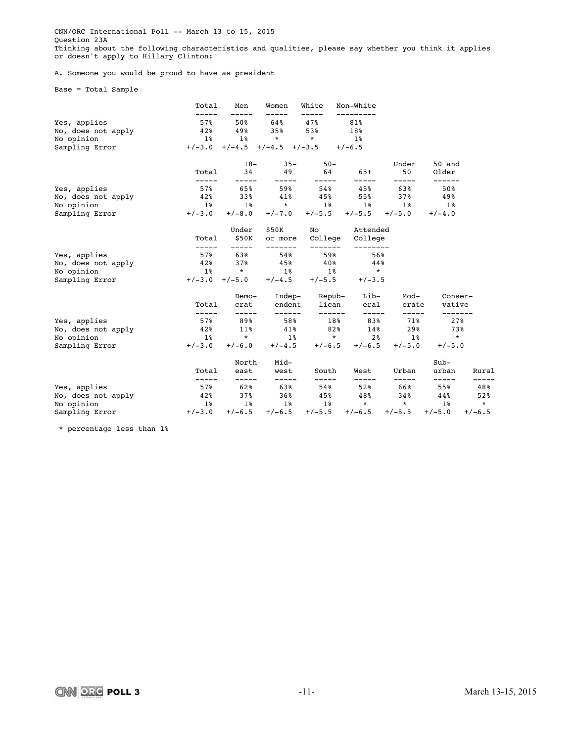CNN/ORC International Poll -- March 13 to 15, 2015 Question 23A Thinking about the following characteristics and qualities, please say whether you think it applies or doesn't apply to Hillary Clinton:

A. Someone you would be proud to have as president

Base = Total Sample

|                    | Total           | Men               | Women                               | White                  | Non-White                                    |                   |                      |                |
|--------------------|-----------------|-------------------|-------------------------------------|------------------------|----------------------------------------------|-------------------|----------------------|----------------|
| Yes, applies       | 57%             |                   | 50% 64% 47%                         |                        | 81%                                          |                   |                      |                |
| No, does not apply | 42%             |                   | 49% 35% 53%                         |                        | 18%                                          |                   |                      |                |
| No opinion         | $1\%$           |                   | $1\%$ * *                           |                        | $1\%$                                        |                   |                      |                |
| Sampling Error     |                 |                   | $+/-3.0$ $+/-4.5$ $+/-4.5$ $+/-3.5$ |                        | $+/-6.5$                                     |                   |                      |                |
|                    |                 | $18 -$            | $35 -$                              | $50 -$                 |                                              | Under             | 50 and               |                |
|                    | Total           | 34<br>-----       |                                     | $- - - - -$            | 49 64 65+<br>$--- - - -$                     | 50<br>-----       | Older<br>------      |                |
| Yes, applies       | 578             | 65%               | 59%                                 | 54%                    |                                              | 45% 63%           | 50%                  |                |
| No, does not apply | 42%             | 33%               | 41%                                 | 45%                    | 55%                                          | 37%               | $49\%$               |                |
| No opinion         |                 |                   |                                     |                        | $1\%$ $1\%$ $\star$ $1\%$ $1\%$ $1\%$        |                   | $1\,$ $8$            |                |
| Sampling Error     | $+/-3.0$        | $+/-8.0$          |                                     | $+/-7.0$ $+/-5.5$      |                                              | $+/-5.5$ $+/-5.0$ | $+/-4.0$             |                |
|                    |                 | Under             | \$50K                               |                        | No Attended                                  |                   |                      |                |
|                    | Total           | \$50K<br>-----    | or more<br>-------                  |                        | College College<br>--------                  |                   |                      |                |
| Yes, applies       |                 | 57% 63%           | 54%                                 | -------<br>59%         | 56%                                          |                   |                      |                |
| No, does not apply | 42%             | 37%               | 45%                                 | $40\%$                 | $44\%$                                       |                   |                      |                |
| No opinion         | $1\,$ $8$       | $\star$           | $1\,$ %                             |                        | $1\%$ *                                      |                   |                      |                |
| Sampling Error     |                 | $+/-3.0$ $+/-5.0$ | $+/-4.5$                            | $+/-5.5$               | $+/-3.5$                                     |                   |                      |                |
|                    |                 | Demo-             |                                     | Indep- Repub-          | Lib-                                         | Mod-              | Conser-              |                |
|                    | Total<br>-----  | crat<br>-----     | ------                              | endent lican<br>------ | eral<br>$--- - - -$                          | erate<br>-----    | vative<br>-------    |                |
| Yes, applies       | 57%             | 89%               | 58%                                 | 18%                    | 83%                                          | 71%               | 27%                  |                |
| No, does not apply | 42%             | 11%               | 41%                                 | 82%                    | 14%                                          | 29%               | 73%                  |                |
| No opinion         | $1\,$ %         | $\star$           |                                     |                        | $1\%$ * 2\% 1\%                              |                   | $\star$              |                |
| Sampling Error     |                 |                   |                                     |                        | $+/-3.0$ $+/-6.0$ $+/-4.5$ $+/-6.5$ $+/-6.5$ | $+/-5.0$          | $+/-5.0$             |                |
|                    |                 | North             | Mid-                                |                        |                                              |                   | $Sub-$               |                |
|                    | Total<br>------ | east<br>-----     | west<br>-----                       | South<br>-----         | West<br>-----                                | Urban<br>-----    | urban<br>$- - - - -$ | Rural<br>----- |
| Yes, applies       | 57%             | 62 \$             | 63%                                 | 54%                    | 52%                                          | 66%               | 55%                  | 48%            |
| No, does not apply | 42%             | 37% 36%           |                                     |                        | 45% 48%                                      | 34%               | 44%                  | 52%            |
| No opinion         | $1\,$ $8$       | $1\,$ %           | $1\,$ %                             | $1\,$ $\,$             | $*$                                          | $\star$           | 1 <sup>8</sup>       | $\star$        |
| Sampling Error     |                 | $+/-3.0$ $+/-6.5$ | $+/-6.5$                            |                        | $+/-5.5$ $+/-6.5$ $+/-5.5$ $+/-5.0$          |                   |                      | $+/-6.5$       |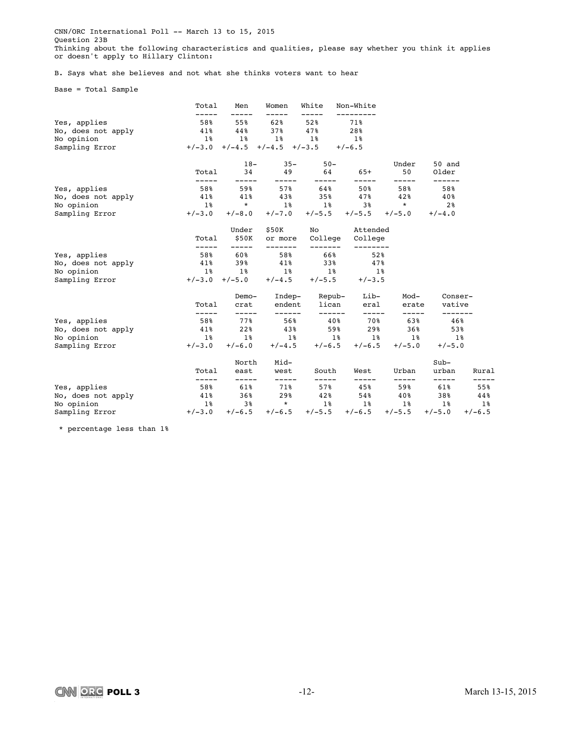CNN/ORC International Poll -- March 13 to 15, 2015 Question 23B Thinking about the following characteristics and qualities, please say whether you think it applies or doesn't apply to Hillary Clinton:

B. Says what she believes and not what she thinks voters want to hear

Base = Total Sample

|                              | Total        | Men                | Women                               | White            | Non-White                                    |                   |                    |              |
|------------------------------|--------------|--------------------|-------------------------------------|------------------|----------------------------------------------|-------------------|--------------------|--------------|
|                              |              |                    |                                     |                  |                                              |                   |                    |              |
| Yes, applies                 | 58%          | 44%                | 55% 62%<br>37%                      | 52%              | 71%<br>28%                                   |                   |                    |              |
| No, does not apply           | 41%          |                    | 1% 1%                               | 47%              |                                              |                   |                    |              |
| No opinion<br>Sampling Error | $1\,$ s      | $1\,$              | $+/-3.0$ $+/-4.5$ $+/-4.5$ $+/-3.5$ |                  | $1\,$ %<br>$+/-6.5$                          |                   |                    |              |
|                              |              |                    |                                     |                  |                                              |                   |                    |              |
|                              |              | $18-$              | $35 -$                              | $50 -$           |                                              | Under             | 50 and             |              |
|                              | Total        | 34<br>-----        | -----                               | $- - - - -$      | 49 64 65+<br>$- - - - -$                     | 50<br>-----       | Older<br>------    |              |
| Yes, applies                 | 58%          | 59%                |                                     | 57% 64%          |                                              | 50% 58%           | 58%                |              |
| No, does not apply           | 41%          | 41%                |                                     |                  | $43\%$ $35\%$ $47\%$ $42\%$                  |                   | 40%                |              |
| No opinion                   |              | $1\%$ * $1\%$      |                                     |                  | $1\%$ 3% $*$                                 |                   | 2 <sup>8</sup>     |              |
| Sampling Error               |              | $+/-3.0 +/-8.0$    |                                     |                  | $+/-7.0$ $+/-5.5$ $+/-5.5$ $+/-5.0$          |                   | $+/-4.0$           |              |
|                              |              | Under              | \$50K                               |                  | No Attended                                  |                   |                    |              |
|                              | Total        | \$50K              | or more                             | College          | College                                      |                   |                    |              |
| Yes, applies                 | -----        | -----<br>58% 60%   | -------<br>58%                      | --------<br>66%  | --------<br>52%                              |                   |                    |              |
| No, does not apply           |              | $41\%$ 39% $41\%$  |                                     | 338              | 47%                                          |                   |                    |              |
| No opinion                   |              |                    |                                     |                  | 1% 1% 1% 1% 1%                               |                   |                    |              |
| Sampling Error               |              |                    | $+/-3.0$ $+/-5.0$ $+/-4.5$          | $+/-5.5$         | $+/-3.5$                                     |                   |                    |              |
|                              |              | Demo-              |                                     | Indep- Repub-    | Lib-                                         | Mod-              | Conser-            |              |
|                              | Total        | crat               |                                     | endent lican     | eral                                         | erate             | vative             |              |
| Yes, applies                 | -----<br>58% | -----<br>77%       | ------<br>56%                       | ------<br>$40\%$ | $------$<br>70웡                              | -----<br>63%      | -------<br>46%     |              |
| No, does not apply           | 41%          | 22%                | 43%                                 | 59%              |                                              | 29%<br>36%        | 53%                |              |
| No opinion                   |              |                    |                                     |                  | 1% 1% 1% 1% 1% 1%                            |                   | $1\,$ $\,$         |              |
| Sampling Error               |              |                    |                                     |                  | $+/-3.0$ $+/-6.0$ $+/-4.5$ $+/-6.5$ $+/-6.5$ | $+/-5.0$          | $+/-5.0$           |              |
|                              |              | North              | Mid-                                |                  |                                              |                   | $Sub-$             |              |
|                              | Total        | east               | west                                | South            | West                                         | Urban             | urban              | Rural        |
| Yes, applies                 | -----<br>58% | $- - - - -$<br>61% | -----<br>71%                        | -----<br>578     | $- - - - -$<br>$45\%$                        | -----<br>59%      | $--- - - -$<br>61% | -----<br>55% |
| No, does not apply           | 41%          | $36\%$             | 29%                                 | 42%              |                                              | 54% 40%           | 38%                | 44%          |
| No opinion                   | $1\,$ $8$    | 3%                 | $\star$                             |                  | $1\%$ $1\%$                                  | $1\,$ $8$         | $1\,$ $\,$         | $1\,$ $8$    |
| Sampling Error               |              | $+/-3.0$ $+/-6.5$  | $+/-6.5$                            |                  | $+/-5.5$ $+/-6.5$                            | $+/-5.5$ $+/-5.0$ |                    | $+/-6.5$     |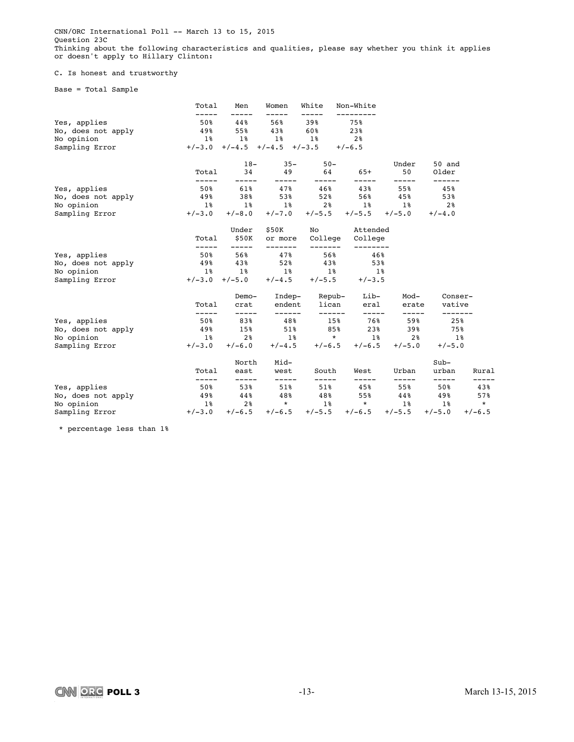CNN/ORC International Poll -- March 13 to 15, 2015 Question 23C Thinking about the following characteristics and qualities, please say whether you think it applies or doesn't apply to Hillary Clinton:

### C. Is honest and trustworthy

Base = Total Sample

|                    | Total          | Men            | Women                               | White                  | Non-White                  |              |                    |              |
|--------------------|----------------|----------------|-------------------------------------|------------------------|----------------------------|--------------|--------------------|--------------|
| Yes, applies       | 50%            | 44%            | 56%                                 | 39%                    | 75%                        |              |                    |              |
| No, does not apply | 49%            | 55%            | 43%                                 | 60%                    | 23%                        |              |                    |              |
| No opinion         | <b>1%</b>      | 1%             | 1%                                  | $1\,$ s                | 2%                         |              |                    |              |
| Sampling Error     |                |                | $+/-3.0$ $+/-4.5$ $+/-4.5$ $+/-3.5$ |                        | $+/-6.5$                   |              |                    |              |
|                    |                | $18-$          | $35 -$                              | $50 -$                 |                            | Under        | 50 and             |              |
|                    | Total          | 34<br>-----    | 49<br>-----                         | 64<br>-----            | 65+<br>-----               | 50<br>-----  | Older<br>------    |              |
| Yes, applies       | 50%            | 61%            | 47%                                 | $46\%$                 | 43%                        | 55%          | 45%                |              |
| No, does not apply | 49%            | 38%            | 53%                                 | 52%                    | 56%                        | 45%          | 53%                |              |
| No opinion         | $1\,$ $\,$     |                | 1% 1%                               |                        | $2\%$ 1%                   | $1\,$ s      | 2%                 |              |
| Sampling Error     | $+/-3.0$       | $+/-8.0$       | $+/-7.0$                            |                        | $+/-5.5$ $+/-5.5$ $+/-5.0$ |              | $+/-4.0$           |              |
|                    |                | Under          | \$50K                               |                        | No Attended                |              |                    |              |
|                    | Total          | \$50K<br>----- | or more<br>--------                 | College<br>-------     | College<br>--------        |              |                    |              |
| Yes, applies       | 50%            | 56%            | 47%                                 | 56%                    | 46%                        |              |                    |              |
| No, does not apply | 49%            | 438            | 52%                                 | 43%                    | 53%                        |              |                    |              |
| No opinion         | $1\,$ $8$      | <b>1%</b>      | $1\,$ %                             | $1\,$ %                | $1\,$ $\,$                 |              |                    |              |
| Sampling Error     | $+/-3.0$       | $+/-5.0$       | $+/-4.5$                            | $+/-5.5$               | $+/-3.5$                   |              |                    |              |
|                    |                | Demo-          |                                     | Indep- Repub-          | Lib-                       | Mod-         | Conser-            |              |
|                    | Total          | crat           |                                     | endent lican<br>------ | eral                       | erate        | vative<br>-------  |              |
| Yes, applies       | -----<br>50%   | -----<br>83%   | ------<br>48%                       | 15%                    | $--- - - -$<br>76%ร        | -----<br>59% | 25%                |              |
| No, does not apply | 49%            | 15%            | $51\%$                              | 85%                    | 23%                        | 39%          | 75%                |              |
| No opinion         | 1 <sup>8</sup> | 2 <sup>8</sup> | $1\,$ %                             | $\star$                |                            | $1\%$ 2%     | $1\,$ %            |              |
| Sampling Error     | $+/-3.0$       | $+/-6.0$       |                                     | $+/-4.5$ $+/-6.5$      | $+/-6.5$                   | $+/-5.0$     | $+/-5.0$           |              |
|                    |                | North          | Mid-                                |                        |                            |              | $Sub-$             |              |
|                    | Total          | east           | west                                | South                  | West                       | Urban        | urban              | Rural        |
| Yes, applies       | -----<br>50%   | -----<br>53%   | -----<br>$51\%$                     | -----<br>51%           | -----<br>45%               | -----<br>55% | $--- - - -$<br>50% | -----<br>43% |
| No, does not apply | 49%            | 44%            | 48%                                 | 48%                    | 55%                        | 44%          | 49%                | 57%          |
| No opinion         | $1\,$ $8$      | 2 %            | $\star$                             | $1\,$ $\,$             | $\star$                    | $1\,$ $\,$   | $1\,$ $\,$         | $\star$      |
| Sampling Error     | $+/-3.0$       | $+/-6.5$       | $+/-6.5$                            | $+/-5.5$               | $+/-6.5$                   | $+/-5.5$     | $+/-5.0$           | $+/-6.5$     |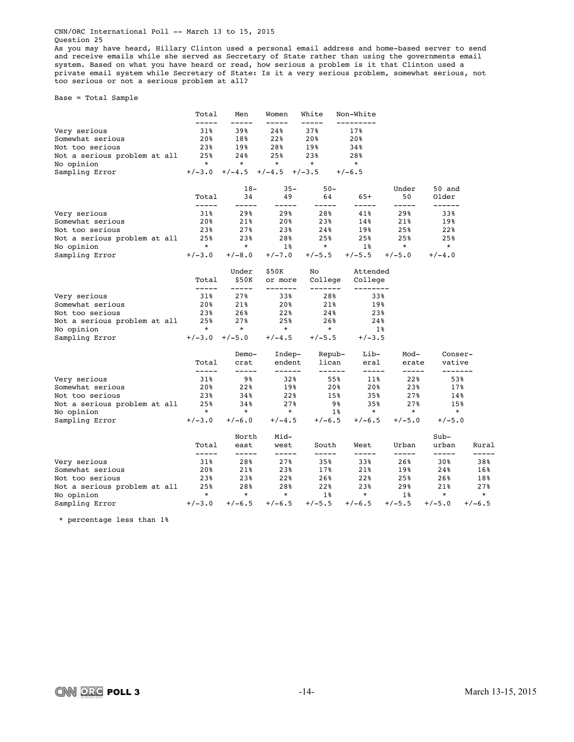CNN/ORC International Poll -- March 13 to 15, 2015 Question 25

As you may have heard, Hillary Clinton used a personal email address and home-based server to send and receive emails while she served as Secretary of State rather than using the governments email system. Based on what you have heard or read, how serious a problem is it that Clinton used a private email system while Secretary of State: Is it a very serious problem, somewhat serious, not too serious or not a serious problem at all?

Base = Total Sample

|                              | Total                | Men                  | Women              | White               | Non-White           |                |                   |                |
|------------------------------|----------------------|----------------------|--------------------|---------------------|---------------------|----------------|-------------------|----------------|
| Very serious                 | 31%                  | 39%                  | 24%                | 37%                 | 17%                 |                |                   |                |
| Somewhat serious             | 20%                  | 18%                  | 22%                | 20%                 | 20%                 |                |                   |                |
| Not too serious              | 23%                  | 19%                  | 28%                | 19%                 | 34%                 |                |                   |                |
| Not a serious problem at all | 25%                  | 24%                  | 25%                | 23%                 | 28%                 |                |                   |                |
| No opinion                   | $\star$              | $\star$              | $\star$            | $\star$             | $\star$             |                |                   |                |
| Sampling Error               | $+/-3.0$             | $+/-4.5$             | $+/-4.5$           | $+/-3.5$            | $+/-6.5$            |                |                   |                |
|                              |                      | $18-$                | $35 -$             | $50 -$              |                     | Under          | 50 and            |                |
|                              | Total                | 34                   | 49                 | 64                  | $65+$               | 50             | Older             |                |
| Very serious                 | -----<br>31%         | -----<br>29%         | -----<br>29%       | -----<br>28%        | -----<br>41%        | -----<br>29%   | ------<br>33%     |                |
| Somewhat serious             | 20%                  | 21%                  | 20%                | 23%                 | 14%                 | 21%            | 19%               |                |
| Not too serious              | 23%                  | 27%                  | 23%                | 24%                 | 19%                 | 25%            | 22%               |                |
| Not a serious problem at all | 25%                  | 23%                  | 28%                | 25%                 | 25%                 | 25%            | 25%               |                |
| No opinion                   | $\star$              | $\star$              | $1\%$              | $\star$             | $1\%$               | $\star$        | $\star$           |                |
| Sampling Error               | $+/-3.0$             | $+/-8.0$             | $+/-7.0$           | $+/-5.5$            | $+/-5.5$            | $+/-5.0$       | $+/-4.0$          |                |
|                              |                      | Under                | \$50K              | No                  | Attended            |                |                   |                |
|                              | Total<br>$--- - - -$ | \$50K<br>$- - - - -$ | or more<br>------- | College<br>-------- | College<br>-------- |                |                   |                |
| Very serious                 | 31%                  | 27%                  | 33%                | 28%                 | 33%                 |                |                   |                |
| Somewhat serious             | 20%                  | 21%                  | 20%                | 21%                 | 19%                 |                |                   |                |
| Not too serious              | 23%                  | 26%                  | 22%                | 24%                 | 23%                 |                |                   |                |
| Not a serious problem at all | 25%                  | 27%                  | 25%                | 26%                 | 24%                 |                |                   |                |
| No opinion                   | $\star$              | $^\star$             | $\star$            | $\star$             | $1\%$               |                |                   |                |
| Sampling Error               | $+/-3.0$             | $+/-5.0$             | $+/-4.5$           | $+/-5.5$            | $+/-3.5$            |                |                   |                |
|                              |                      | Demo-                | Indep-             | Repub-              | Lib-                | Mod-           | Conser-           |                |
|                              | Total<br>-----       | crat<br>-----        | endent<br>------   | lican<br>------     | eral<br>-----       | erate<br>----- | vative<br>------- |                |
| Very serious                 | 31%                  | 98                   | 32%                | 55%                 | 11%                 | 22%            | 53%               |                |
| Somewhat serious             | 20%                  | 22%                  | 19%                | 20%                 | 20%                 | 23%            | 17%               |                |
| Not too serious              | 23%                  | 34%                  | 22%                | 15%                 | 35%                 | 27%            | 14%               |                |
| Not a serious problem at all | 25%                  | 34%                  | 27%                | 98                  | 35%                 | 27%            | 15%               |                |
| No opinion                   | $\star$              | $\star$              | $\star$            | $1\%$               | $\star$             | $\star$        | $\star$           |                |
| Sampling Error               | $+/-3.0$             | $+/-6.0$             | $+/-4.5$           | $+/-6.5$            | $+/-6.5$            | $+/-5.0$       | $+/-5.0$          |                |
|                              |                      | North                | Mid-               |                     |                     |                | $Sub-$            |                |
|                              | Total<br>-----       | east<br>-----        | west               | South<br>-----      | West<br>-----       | Urban<br>----- | urban<br>-----    | Rural<br>----- |
| Very serious                 | 31%                  | 28%                  | -----<br>27%       | 35%                 | 33%                 | 26%            | 30%               | 38%            |
| Somewhat serious             | 20%                  | 21%                  | 23%                | 17%                 | 21%                 | 19%            | 24%               | 16%            |
| Not too serious              | 23%                  | 23%                  | 22%                | 26%                 | 22%                 | 25%            | 26%               | 18%            |
| Not a serious problem at all | 25%                  | 28%                  | 28%                | 22%                 | 23%                 | 29%            | 21%               | 27%            |
| No opinion                   | $\star$              | $\star$              | $\star$            | $1\%$               | $\star$             | $1\%$          | $\ast$            | $\star$        |
| Sampling Error               | $+/-3.0$             | $+/-6.5$             | $+/-6.5$           | $+/-5.5$            | $+/-6.5$            | $+/-5.5$       | $+/-5.0$          | $+/-6.5$       |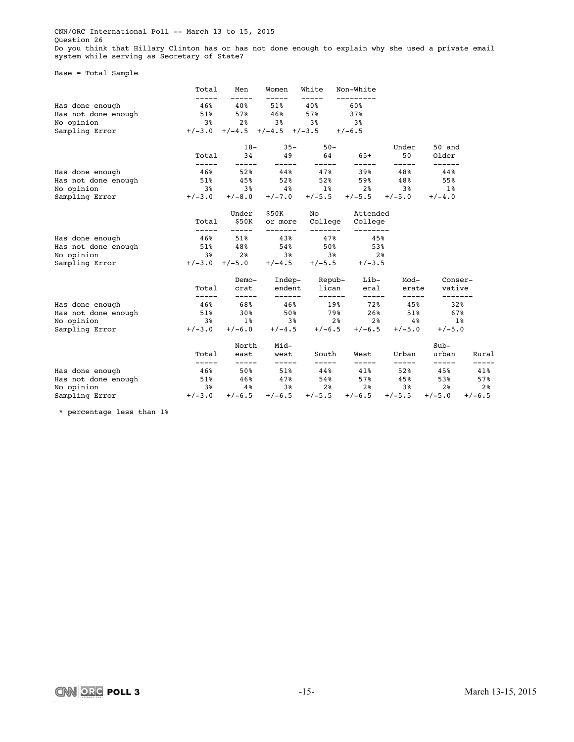CNN/ORC International Poll -- March 13 to 15, 2015 Question 26 Do you think that Hillary Clinton has or has not done enough to explain why she used a private email system while serving as Secretary of State?

Base = Total Sample

|                     | Total                | Men                | Women              | White                     | Non-White          |              |                 |          |
|---------------------|----------------------|--------------------|--------------------|---------------------------|--------------------|--------------|-----------------|----------|
| Has done enough     | 46%                  | 40%                | 51%                | 40%                       | 60%                |              |                 |          |
| Has not done enough | $51\%$               | 57%                | 46%                | 57%                       | 37%                |              |                 |          |
| No opinion          | 3%                   | 2 <sup>8</sup>     | 3%                 | 3%                        | 3%                 |              |                 |          |
| Sampling Error      | $+/-3.0$             | $+/-4.5$           | $+/-4.5$ $+/-3.5$  |                           | $+/-6.5$           |              |                 |          |
|                     |                      | $18-$              | $35 -$             | $50 -$                    |                    | Under        | 50 and          |          |
|                     | Total<br>-----       | 34<br>-----        | 49<br>-----        | 64<br>-----               | $65+$<br>-----     | 50<br>-----  | Older<br>------ |          |
| Has done enough     | 46%                  | 52%                | 44%                | 47%                       | 39%                | 48%          | 44%             |          |
| Has not done enough | $51\%$               | 45%                | 52%                | 52%                       | 59%                | 48%          | 55%             |          |
| No opinion          | 38                   | 3%                 | $4\,$ $\,$         | $1\,$ %                   | 2%                 | 3%           | $1\%$           |          |
| Sampling Error      | $+/-3.0$             | $+/-8.0$           | $+/-7.0$           | $+/-5.5$                  | $+/-5.5$           | $+/-5.0$     | $+/-4.0$        |          |
|                     |                      | Under              | \$50K              | No                        | Attended           |              |                 |          |
|                     | Total<br>$- - - - -$ | \$50K<br>-----     | or more<br>------- | College<br>-------        | College            |              |                 |          |
| Has done enough     | 46%                  | $51\%$             | 43%                | 47%                       | 45%                |              |                 |          |
| Has not done enough | 51%                  | 48%                | 54%                | 50%                       | 53%                |              |                 |          |
| No opinion          | 38                   | 2 <sup>8</sup>     | 3 <sup>8</sup>     | 38                        | 2 <sup>8</sup>     |              |                 |          |
| Sampling Error      | $+/-3.0$             | $+/-5.0$           | $+/-4.5$           | $+/-5.5$                  | $+/-3.5$           |              |                 |          |
|                     |                      | Demo-              |                    | Indep- Repub-             | Lib-               | Mod-         | Conser-         |          |
|                     | Total                | crat               | endent             | lican                     | eral               | erate        | vative          |          |
| Has done enough     | -----<br>46%         | $- - - - -$<br>68% | ------<br>46%      | ------<br>19 <sup>8</sup> | $--- - - -$<br>72% | -----<br>45% | -------<br>32%  |          |
| Has not done enough | $51\%$               | 30%                | 50%                | 79%                       | 26%                | 51%          | 67%             |          |
| No opinion          | 3%                   | $1\,$ s            | 38                 | 2 <sup>8</sup>            | 2 <sup>8</sup>     | $4\,$ $8$    | $1\%$           |          |
| Sampling Error      | $+/-3.0$             | $+/-6.0$           | $+/-4.5$           | $+/-6.5$                  | $+/-6.5$           | $+/-5.0$     | $+/-5.0$        |          |
|                     |                      | North              | Mid-               |                           |                    |              | $Sub-$          |          |
|                     | Total                | east               | west               | South                     | West               | Urban        | urban           | Rural    |
| Has done enough     | -----<br>46%         | -----<br>50%       | -----<br>51%       | -----<br>44%              | -----<br>41%       | -----<br>52% | -----<br>45%    | 41%      |
| Has not done enough | 51%                  | 46%                | 47%                | 54%                       | 57%                | 45%          | 53%             | 57%      |
| No opinion          | 3%                   | $4\,$ $8$          | 3%                 | 2 <sup>8</sup>            | 2 <sup>8</sup>     | 3%           | 2 <sup>8</sup>  | 2%       |
| Sampling Error      | $+/-3.0$             | $+/-6.5$           | $+/-6.5$           | $+/-5.5$                  | $+/-6.5$           | $+/-5.5$     | $+/-5.0$        | $+/-6.5$ |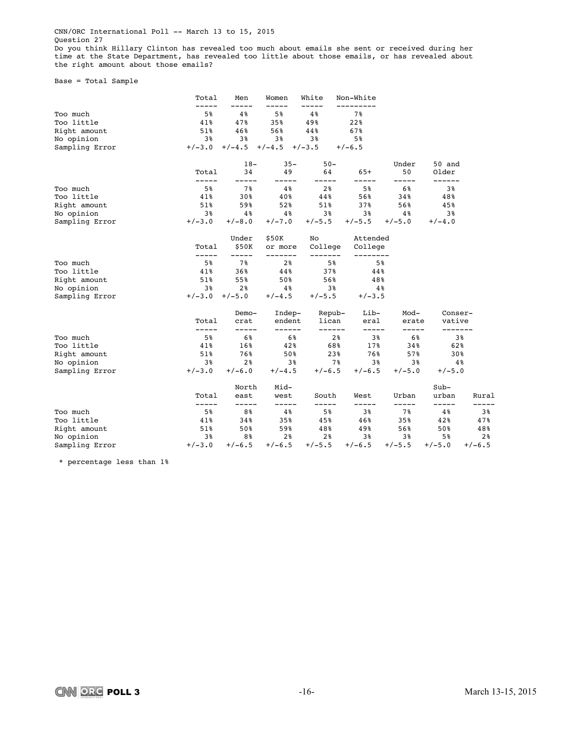CNN/ORC International Poll -- March 13 to 15, 2015 Question 27

Do you think Hillary Clinton has revealed too much about emails she sent or received during her time at the State Department, has revealed too little about those emails, or has revealed about the right amount about those emails?

Base = Total Sample

|                | Total          | Men            | Women               | White              | Non-White           |                |                   |          |
|----------------|----------------|----------------|---------------------|--------------------|---------------------|----------------|-------------------|----------|
| Too much       | 5%             | 4%             | 5%                  | 4%                 | 7%                  |                |                   |          |
| Too little     | 41%            | 47%            | 35%                 | 49%                | 22%                 |                |                   |          |
| Right amount   | 51%            | 46%            | 56%                 | 44%                | 67%                 |                |                   |          |
| No opinion     | 3%             | 3%             | 3%                  | 3%                 | 5%                  |                |                   |          |
| Sampling Error | $+/-3.0$       | $+/-4.5$       | $+/-4.5$            | $+/-3.5$           | $+/-6.5$            |                |                   |          |
|                |                | $18-$          | $35 -$              | $50 -$             |                     | Under          | 50 and            |          |
|                | Total<br>----- | 34<br>-----    | 49                  | 64<br>-----        | $65+$<br>-----      | 50<br>-----    | Older<br>------   |          |
| Too much       | 5%             | 7%             | 4%                  | 2 <sup>8</sup>     | 5%                  | 6%             | 3%                |          |
| Too little     | 41%            | 30%            | 40%                 | 44%                | 56%                 | 34%            | 48%               |          |
| Right amount   | 51%            | 59%            | 52%                 | 51%                | 37%                 | 56%            | 45%               |          |
| No opinion     | 3%             | 4%             | 4%                  | 3%                 | 3%                  | $4\%$          | 3%                |          |
| Sampling Error | $+/-3.0$       | $+/-8.0$       | $+/-7.0$            | $+/-5.5$           | $+/-5.5$            | $+/-5.0$       | $+/-4.0$          |          |
|                |                | Under          | \$50K               | No                 | Attended            |                |                   |          |
|                | Total<br>----- | \$50K<br>----- | or more<br>-------- | College<br>------- | College<br>-------- |                |                   |          |
| Too much       | 5%             | 7%             | 2 <sup>8</sup>      | 5%                 | 5%                  |                |                   |          |
| Too little     | 41%            | 36%            | 44%                 | 37%                | 44%                 |                |                   |          |
| Right amount   | 51%            | 55%            | 50%                 | 56%                | 48%                 |                |                   |          |
| No opinion     | 3%             | 2 <sup>8</sup> | 4%                  | 38                 | $4\%$               |                |                   |          |
| Sampling Error | $+/-3.0$       | $+/-5.0$       | $+/-4.5$            | $+/-5.5$           | $+/-3.5$            |                |                   |          |
|                |                | Demo-          | Indep-              | Repub-             | Lib-                | Mod-           | Conser-           |          |
|                | Total<br>----- | crat<br>-----  | endent<br>------    | lican<br>------    | eral<br>$--- - - -$ | erate<br>----- | vative<br>------- |          |
| Too much       | 5%             | 6%             | 6%                  | 2%                 | 3%                  | 6%             |                   | 3%       |
| Too little     | 41%            | 16%            | 42%                 | 68%                | 17%                 | 34%            | 62%               |          |
| Right amount   | 51%            | 76%            | 50%                 | 23%                | 76%                 | 57%            | 30%               |          |
| No opinion     | 3%             | 2 <sup>8</sup> | 38                  | 7%                 | 3%                  | 38             |                   | 4%       |
| Sampling Error | $+/-3.0$       | $+/-6.0$       | $+/-4.5$            | $+/-6.5$           | $+/-6.5$            | $+/-5.0$       | $+/-5.0$          |          |
|                |                | North          | Mid-                |                    |                     |                | $Sub-$            |          |
|                | Total<br>----- | east<br>-----  | west<br>-----       | South<br>-----     | West<br>-----       | Urban<br>----- | urban<br>-----    | Rural    |
| Too much       | 5%             | 8%             | $4\,$               | 5%                 | 3%                  | 7%             | 4%                | 38       |
| Too little     | 41%            | 34%            | 35%                 | 45%                | 46%                 | 35%            | 42%               | 47%      |
| Right amount   | 51%            | 50%            | 59%                 | 48%                | 49%                 | 56%            | 50%               | 48%      |
| No opinion     | 3%             | 8%             | 2 <sup>8</sup>      | 2%                 | 38                  | 3%             | 5%                | 2%       |
| Sampling Error | $+/-3.0$       | $+/-6.5$       | $+/-6.5$            | $+/-5.5$           | $+/-6.5$            | $+/-5.5$       | $+/-5.0$          | $+/-6.5$ |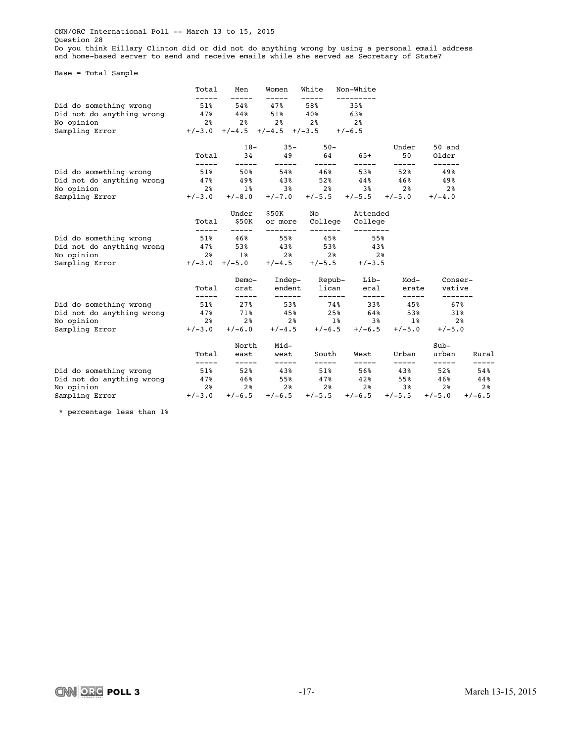CNN/ORC International Poll -- March 13 to 15, 2015 Question 28

Do you think Hillary Clinton did or did not do anything wrong by using a personal email address and home-based server to send and receive emails while she served as Secretary of State?

Base = Total Sample

|                                | Total                | Men                  | Women                      | White                   | Non-White                           |                    |                  |                |
|--------------------------------|----------------------|----------------------|----------------------------|-------------------------|-------------------------------------|--------------------|------------------|----------------|
| Did do something wrong         | -----<br>51%         | 54%                  | 47%                        | 58%                     | 35%                                 |                    |                  |                |
| Did not do anything wrong      | 47%                  | 44%                  | 51%                        | 40%                     | 63%                                 |                    |                  |                |
| No opinion                     | 2 <sup>8</sup>       | 2 <sup>8</sup>       | 2 <sup>8</sup>             | 2 <sup>°</sup>          | 2%                                  |                    |                  |                |
| Sampling Error                 | $+/-3.0$             |                      | $+/-4.5$ $+/-4.5$ $+/-3.5$ |                         | $+/-6.5$                            |                    |                  |                |
|                                |                      | $18-$                | $35 -$                     | $50 -$                  |                                     | Under              | 50 and           |                |
|                                | Total<br>$- - - - -$ | 34<br>-----          | 49<br>-----                | 64<br>-----             | $65+$<br>-----                      | 50<br>-----        | Older<br>------- |                |
| Did do something wrong         | 51%                  | 50%                  | 54%                        | 46%                     | 53%                                 | 52%                | 49%              |                |
| Did not do anything wrong      | 47%                  | 49%                  | 43%                        | 52%                     | 44%                                 | 46%ะ               | 49%              |                |
| No opinion                     | 2%                   | $1\,$ %              | 3 <sup>8</sup>             | 2%                      | 3 <sup>8</sup>                      | 2 <sup>°</sup>     | 2 <sup>°</sup>   |                |
| Sampling Error                 | $+/-3.0$             | $+/-8.0$             |                            |                         | $+/-7.0$ $+/-5.5$ $+/-5.5$ $+/-5.0$ |                    | $+/-4.0$         |                |
|                                |                      | Under                | \$50K                      |                         | No Attended                         |                    |                  |                |
|                                | Total<br>-----       | \$50K<br>$- - - - -$ | or more<br>-------         | -------                 | College College                     |                    |                  |                |
| Did do something wrong 51% 46% |                      |                      | 55%                        | 45%                     | 55%                                 |                    |                  |                |
| Did not do anything wrong 47%  |                      | 53%                  | 43%                        | 53%                     | 438                                 |                    |                  |                |
| No opinion                     | 2 <sup>8</sup>       | $1\,$ %              | 2 <sup>8</sup>             | 28                      | 2 <sup>8</sup>                      |                    |                  |                |
| Sampling Error                 | $+/-3.0$             | $+/-5.0$             | $+/-4.5$                   | $+/-5.5$                | $+/-3.5$                            |                    |                  |                |
|                                |                      | Demo-                |                            | Indep- Repub-           | Lib-                                | Mod-               | Conser-          |                |
|                                | Total                | crat                 |                            | endent lican<br>------- | eral<br>$------$                    | erate              | vative           |                |
| Did do something wrong         | $-----$<br>51%       | $- - - - -$<br>27%   | ------<br>53%              | 748                     | 33%                                 | $- - - - -$<br>45% | -------<br>67%   |                |
| Did not do anything wrong 47%  |                      | 71%                  | 45%                        | 25%                     | 64%                                 | 53%                | 31%              |                |
| No opinion                     | 2 <sup>8</sup>       | 2 <sup>8</sup>       | 2 %                        | $1\,$ $\,$              |                                     | $38$ 18            | 2 <sup>8</sup>   |                |
| Sampling Error                 | $+/-3.0$             | $+/-6.0$             | $+/-4.5$                   | $+/-6.5$                | $+/-6.5$                            | $+/-5.0$           | $+/-5.0$         |                |
|                                |                      | North                | Mid-                       |                         |                                     |                    | $Sub-$           |                |
|                                | Total<br>-----       | east<br>-----        | west<br>-----              | South<br>-----          | West                                | Urban              | urban            | Rural          |
| Did do something wrong         | 51%                  | 52%                  | 43%                        | 51%                     | -----<br>56%                        | -----<br>43%       | -----<br>52%     | 54%            |
| Did not do anything wrong      | 47%                  | 46%                  | 55%                        | 47%                     | 42%                                 | 55%                | 46%              | 44%            |
| No opinion                     | 28                   |                      | $2\frac{8}{9}$ 2%          |                         | $2\%$ $2\%$                         | 38                 | 2 <sup>8</sup>   | 2 <sup>8</sup> |
| Sampling Error                 | $+/-3.0$             | $+/-6.5$             | $+/-6.5$                   | $+/-5.5$                | $+/-6.5$                            | $+/-5.5$           | $+/-5.0$         | $+/-6.5$       |